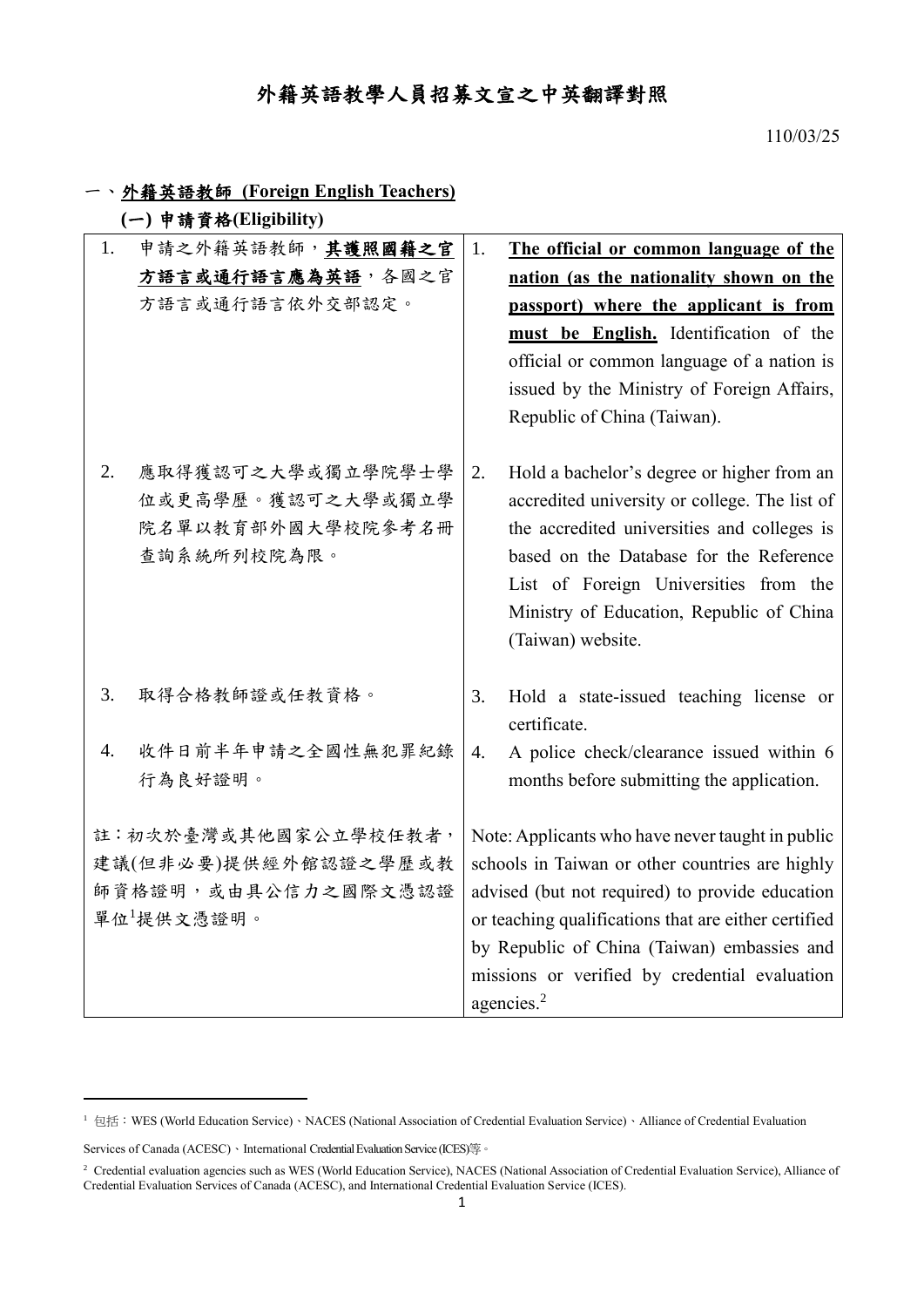## 外籍英語教學人員招募文宣之中英翻譯對照

110/03/25

|  |  | 外籍英語教師 (Foreign English Teachers) |
|--|--|-----------------------------------|
|--|--|-----------------------------------|

|  |  | (一) 申請資格(Eligibility) |
|--|--|-----------------------|
|--|--|-----------------------|

| 申請之外籍英語教師,其護照國籍之官<br>1.                                                           | The official or common language of the<br>1.                                                                                                                                                                                                                                                                                             |
|-----------------------------------------------------------------------------------|------------------------------------------------------------------------------------------------------------------------------------------------------------------------------------------------------------------------------------------------------------------------------------------------------------------------------------------|
| 方語言或通行語言應為英語,各國之官                                                                 | nation (as the nationality shown on the                                                                                                                                                                                                                                                                                                  |
| 方語言或通行語言依外交部認定。                                                                   | passport) where the applicant is from                                                                                                                                                                                                                                                                                                    |
|                                                                                   | must be English. Identification of the                                                                                                                                                                                                                                                                                                   |
|                                                                                   | official or common language of a nation is                                                                                                                                                                                                                                                                                               |
|                                                                                   | issued by the Ministry of Foreign Affairs,                                                                                                                                                                                                                                                                                               |
|                                                                                   | Republic of China (Taiwan).                                                                                                                                                                                                                                                                                                              |
| 2.<br>應取得獲認可之大學或獨立學院學士學<br>位或更高學歷。獲認可之大學或獨立學<br>院名單以教育部外國大學校院參考名冊<br>查詢系統所列校院為限。  | Hold a bachelor's degree or higher from an<br>2.<br>accredited university or college. The list of<br>the accredited universities and colleges is<br>based on the Database for the Reference<br>List of Foreign Universities from the<br>Ministry of Education, Republic of China<br>(Taiwan) website.                                    |
| 取得合格教師證或任教資格。<br>3.                                                               | Hold a state-issued teaching license or<br>3.<br>certificate.                                                                                                                                                                                                                                                                            |
| 收件日前半年申請之全國性無犯罪紀錄<br>4.                                                           | A police check/clearance issued within 6<br>$\overline{4}$ .                                                                                                                                                                                                                                                                             |
| 行為良好證明。                                                                           | months before submitting the application.                                                                                                                                                                                                                                                                                                |
| 註:初次於臺灣或其他國家公立學校任教者,<br>建議(但非必要)提供經外館認證之學歷或教<br>師資格證明,或由具公信力之國際文憑認證<br>單位1提供文憑證明。 | Note: Applicants who have never taught in public<br>schools in Taiwan or other countries are highly<br>advised (but not required) to provide education<br>or teaching qualifications that are either certified<br>by Republic of China (Taiwan) embassies and<br>missions or verified by credential evaluation<br>agencies. <sup>2</sup> |

 $\overline{a}$ 

<sup>1</sup> 包括:WES (World Education Service)、NACES (National Association of Credential Evaluation Service)、Alliance of Credential Evaluation

Services of Canada (ACESC)、International Credential Evaluation Service (ICES)等。

<sup>2</sup> Credential evaluation agencies such as WES (World Education Service), NACES (National Association of Credential Evaluation Service), Alliance of Credential Evaluation Services of Canada (ACESC), and International Credential Evaluation Service (ICES).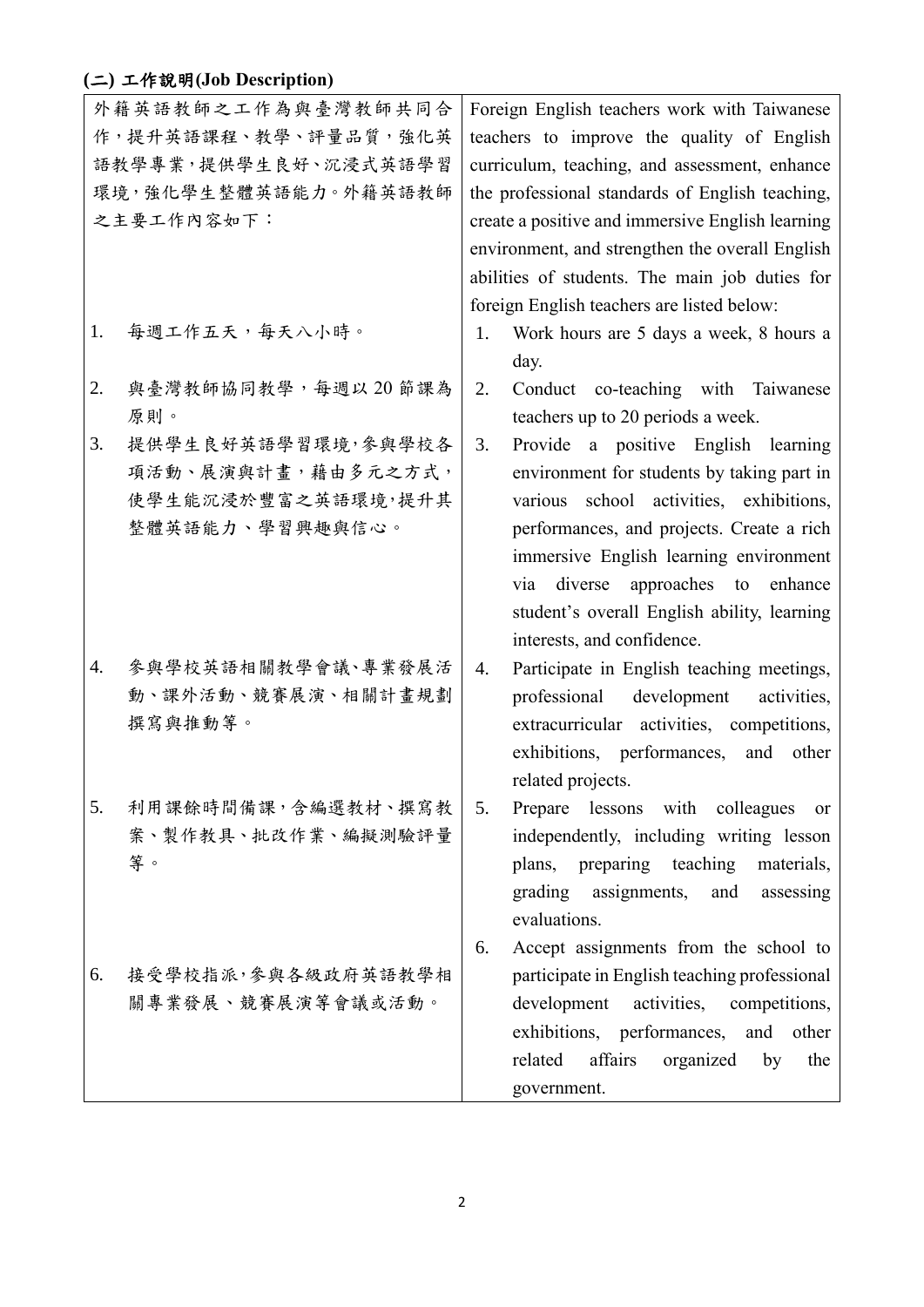## **(**二**)** 工作說明**(Job Description)**

|                      | 外籍英語教師之工作為與臺灣教師共同合   |                                                 | Foreign English teachers work with Taiwanese     |  |  |
|----------------------|----------------------|-------------------------------------------------|--------------------------------------------------|--|--|
| 作,提升英語課程、教學、評量品質,強化英 |                      | teachers to improve the quality of English      |                                                  |  |  |
|                      | 語教學專業,提供學生良好、沉浸式英語學習 |                                                 | curriculum, teaching, and assessment, enhance    |  |  |
|                      | 環境,強化學生整體英語能力。外籍英語教師 | the professional standards of English teaching, |                                                  |  |  |
|                      | 之主要工作内容如下:           |                                                 | create a positive and immersive English learning |  |  |
|                      |                      |                                                 | environment, and strengthen the overall English  |  |  |
|                      |                      |                                                 | abilities of students. The main job duties for   |  |  |
|                      |                      |                                                 | foreign English teachers are listed below:       |  |  |
| 1.                   | 每週工作五天,每天八小時。        | 1.                                              | Work hours are 5 days a week, 8 hours a          |  |  |
|                      |                      |                                                 | day.                                             |  |  |
| 2.                   | 與臺灣教師協同教學,每週以20節課為   | 2.                                              | Conduct co-teaching with Taiwanese               |  |  |
|                      | 原則。                  |                                                 | teachers up to 20 periods a week.                |  |  |
| 3.                   | 提供學生良好英語學習環境,參與學校各   | 3.                                              | Provide a positive English learning              |  |  |
|                      | 項活動、展演與計畫,藉由多元之方式,   |                                                 | environment for students by taking part in       |  |  |
|                      | 使學生能沉浸於豐富之英語環境,提升其   |                                                 | various school activities, exhibitions,          |  |  |
|                      | 整體英語能力、學習興趣與信心。      |                                                 | performances, and projects. Create a rich        |  |  |
|                      |                      |                                                 | immersive English learning environment           |  |  |
|                      |                      |                                                 | via diverse approaches to enhance                |  |  |
|                      |                      |                                                 | student's overall English ability, learning      |  |  |
|                      |                      |                                                 | interests, and confidence.                       |  |  |
| 4.                   | 參與學校英語相關教學會議、專業發展活   | 4.                                              |                                                  |  |  |
|                      | 動、課外活動、競賽展演、相關計畫規劃   |                                                 | Participate in English teaching meetings,        |  |  |
|                      |                      |                                                 | professional<br>development<br>activities,       |  |  |
|                      | 撰寫與推動等。              |                                                 | extracurricular activities, competitions,        |  |  |
|                      |                      |                                                 | exhibitions, performances,<br>and<br>other       |  |  |
|                      |                      |                                                 | related projects.                                |  |  |
| 5.                   | 利用課餘時間備課,含編選教材、撰寫教   | 5.                                              | Prepare lessons with colleagues<br><sub>or</sub> |  |  |
|                      | 案、製作教具、批改作業、編擬測驗評量   |                                                 | independently, including writing lesson          |  |  |
|                      | 等。                   |                                                 | plans, preparing teaching<br>materials,          |  |  |
|                      |                      |                                                 | assignments, and<br>grading<br>assessing         |  |  |
|                      |                      |                                                 | evaluations.                                     |  |  |
|                      |                      | 6.                                              | Accept assignments from the school to            |  |  |
| 6.                   | 接受學校指派,參與各級政府英語教學相   |                                                 | participate in English teaching professional     |  |  |
|                      | 關專業發展、競賽展演等會議或活動。    |                                                 | activities, competitions,<br>development         |  |  |
|                      |                      |                                                 | exhibitions, performances,<br>and<br>other       |  |  |
|                      |                      |                                                 | affairs<br>organized<br>related<br>by<br>the     |  |  |
|                      |                      |                                                 | government.                                      |  |  |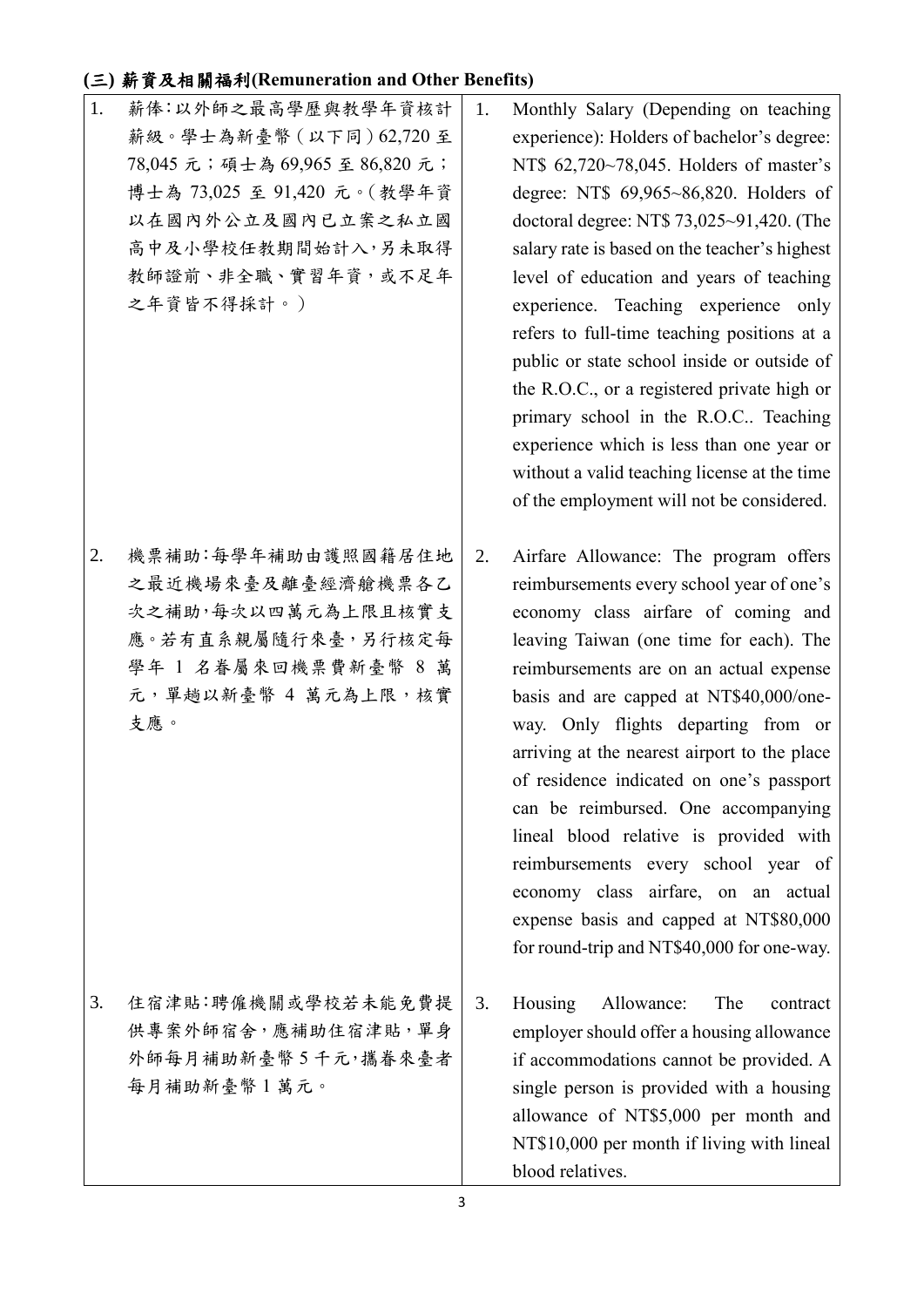#### **(**三**)** 薪資及相關福利**(Remuneration and Other Benefits)**

1. 薪俸:以外師之最高學歷與教學年資核計 薪級。學士為新臺幣(以下同)62,720 至 78,045 元;碩士為 69,965 至 86,820 元; 博士為 73,025 至 91,420 元。(教學年資 以在國內外公立及國內已立案之私立國 高中及小學校任教期間始計入,另未取得 教師證前、非全職、實習年資,或不足年 之年資皆不得採計。)

2. 機票補助:每學年補助由護照國籍居住地 之最近機場來臺及離臺經濟艙機票各乙 次之補助,每次以四萬元為上限且核實支 應。若有直系親屬隨行來臺,另行核定每 學年 1 名眷屬來回機票費新臺幣 8 萬 元,單趟以新臺幣 4 萬元為上限,核實 支應。

3. 住宿津貼:聘僱機關或學校若未能免費提 供專案外師宿舍,應補助住宿津貼,單身 外師每月補助新臺幣 5 千元,攜眷來臺者 每月補助新臺幣 1 萬元。

- 1. Monthly Salary (Depending on teaching experience): Holders of bachelor's degree: NT\$ 62,720~78,045. Holders of master's degree: NT\$ 69,965~86,820. Holders of doctoral degree: NT\$ 73,025~91,420. (The salary rate is based on the teacher's highest level of education and years of teaching experience. Teaching experience only refers to full-time teaching positions at a public or state school inside or outside of the R.O.C., or a registered private high or primary school in the R.O.C.. Teaching experience which is less than one year or without a valid teaching license at the time of the employment will not be considered.
- 2. Airfare Allowance: The program offers reimbursements every school year of one's economy class airfare of coming and leaving Taiwan (one time for each). The reimbursements are on an actual expense basis and are capped at NT\$40,000/oneway. Only flights departing from or arriving at the nearest airport to the place of residence indicated on one's passport can be reimbursed. One accompanying lineal blood relative is provided with reimbursements every school year of economy class airfare, on an actual expense basis and capped at NT\$80,000 for round-trip and NT\$40,000 for one-way.
- 3. Housing Allowance: The contract employer should offer a housing allowance if accommodations cannot be provided. A single person is provided with a housing allowance of NT\$5,000 per month and NT\$10,000 per month if living with lineal blood relatives.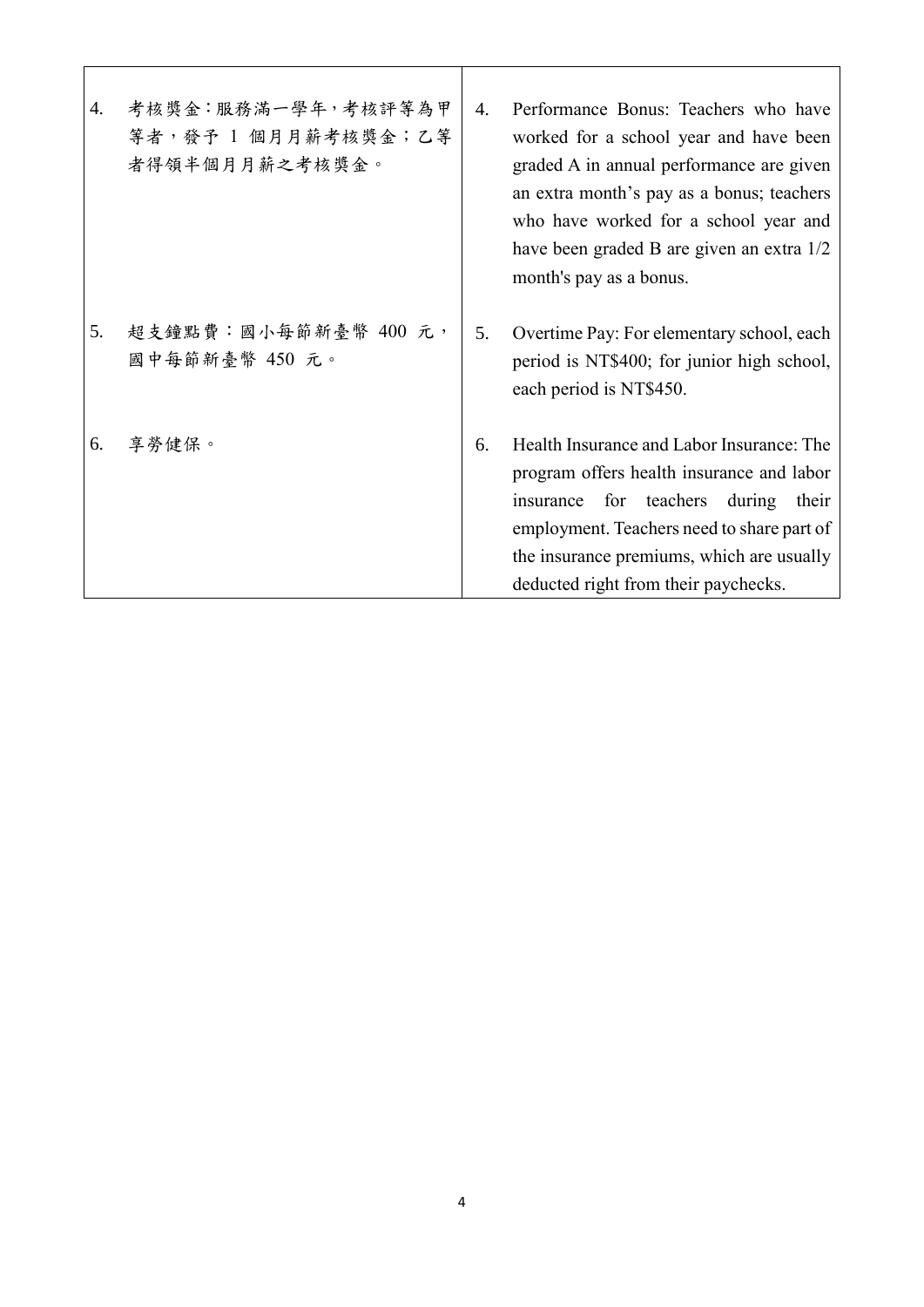| 4. | 考核獎金:服務滿一學年,考核評等為甲<br>等者,發予1個月月薪考核獎金;乙等<br>者得領半個月月薪之考核獎金。 | 4. | Performance Bonus: Teachers who have<br>worked for a school year and have been<br>graded A in annual performance are given<br>an extra month's pay as a bonus; teachers<br>who have worked for a school year and<br>have been graded B are given an extra 1/2<br>month's pay as a bonus. |
|----|-----------------------------------------------------------|----|------------------------------------------------------------------------------------------------------------------------------------------------------------------------------------------------------------------------------------------------------------------------------------------|
| 5. | 超支鐘點費:國小每節新臺幣 400 元,<br>國中每節新臺幣 450 元。                    | 5. | Overtime Pay: For elementary school, each<br>period is NT\$400; for junior high school,<br>each period is NT\$450.                                                                                                                                                                       |
| 6. | 享勞健保。                                                     | 6. | Health Insurance and Labor Insurance: The<br>program offers health insurance and labor<br>for teachers<br>during<br>their<br>insurance<br>employment. Teachers need to share part of<br>the insurance premiums, which are usually<br>deducted right from their paychecks.                |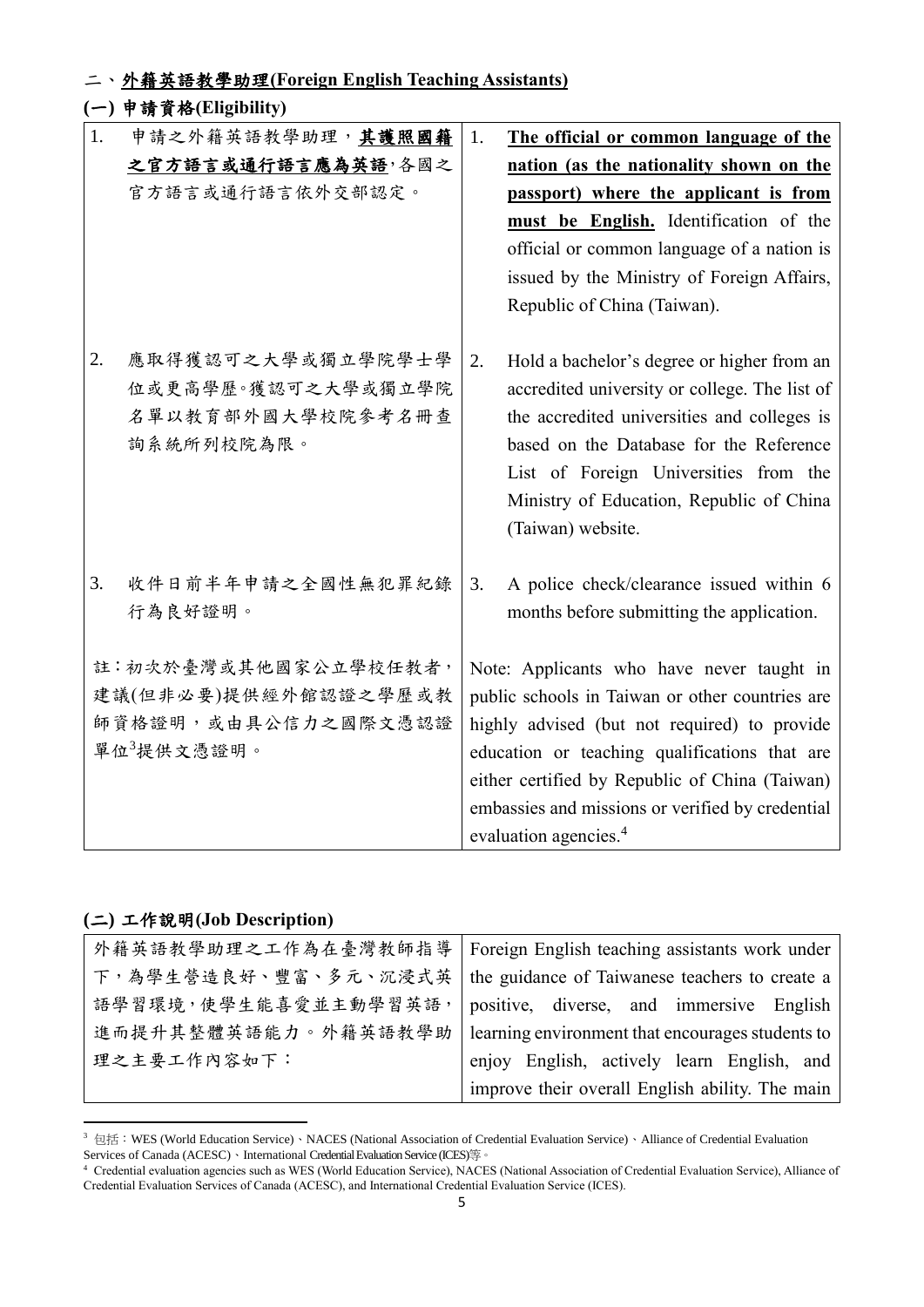#### 二、外籍英語教學助理**(Foreign English Teaching Assistants)**

#### **(**一**)** 申請資格**(Eligibility)** 1. 申請之外籍英語教學助理,其護照國籍 之官方語言或通行語言應為英語,各國之 官方語言或通行語言依外交部認定。 2. 應取得獲認可之大學或獨立學院學士學 位或更高學歷。獲認可之大學或獨立學院 名單以教育部外國大學校院參考名冊查 詢系統所列校院為限。 3. 收件日前半年申請之全國性無犯罪紀錄 行為良好證明。 註:初次於臺灣或其他國家公立學校任教者, 建議(但非必要)提供經外館認證之學歷或教 師資格證明,或由具公信力之國際文憑認證 單位 $3$ 提供文憑證明。 1. **The official or common language of the nation (as the nationality shown on the passport) where the applicant is from must be English.** Identification of the official or common language of a nation is issued by the Ministry of Foreign Affairs, Republic of China (Taiwan). 2. Hold a bachelor's degree or higher from an accredited university or college. The list of the accredited universities and colleges is based on the Database for the Reference List of Foreign Universities from the Ministry of Education, Republic of China (Taiwan) website. 3. A police check/clearance issued within 6 months before submitting the application. Note: Applicants who have never taught in public schools in Taiwan or other countries are highly advised (but not required) to provide education or teaching qualifications that are either certified by Republic of China (Taiwan) embassies and missions or verified by credential evaluation agencies.<sup>4</sup>

#### **(**二**)** 工作說明**(Job Description)**

 $\overline{a}$ 

| 外籍英語教學助理之工作為在臺灣教師指導                                                   | Foreign English teaching assistants work under   |  |  |  |  |
|-----------------------------------------------------------------------|--------------------------------------------------|--|--|--|--|
| 下,為學生營造良好、豐富、多元、沉浸式英   the guidance of Taiwanese teachers to create a |                                                  |  |  |  |  |
| 語學習環境,使學生能喜愛並主動學習英語,                                                  | positive, diverse, and immersive English         |  |  |  |  |
| 進而提升其整體英語能力。外籍英語教學助                                                   | learning environment that encourages students to |  |  |  |  |
| 理之主要工作内容如下:                                                           | enjoy English, actively learn English, and       |  |  |  |  |
|                                                                       | improve their overall English ability. The main  |  |  |  |  |

<sup>3</sup> 包括:WES (World Education Service)、NACES (National Association of Credential Evaluation Service)、Alliance of Credential Evaluation Services of Canada (ACESC)、International Credential Evaluation Service (ICES)等。

<sup>4</sup> Credential evaluation agencies such as WES (World Education Service), NACES (National Association of Credential Evaluation Service), Alliance of Credential Evaluation Services of Canada (ACESC), and International Credential Evaluation Service (ICES).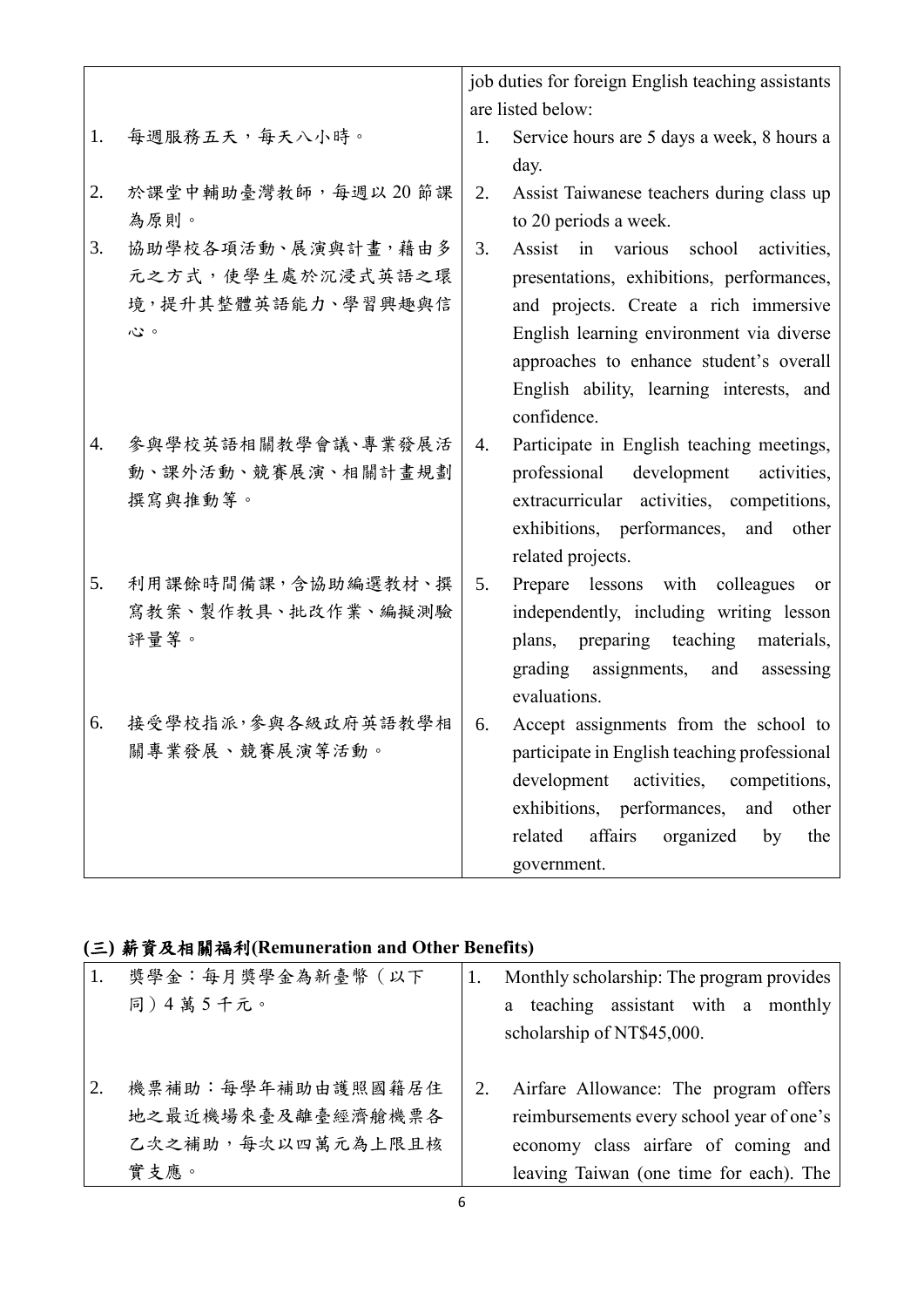|    |                    | job duties for foreign English teaching assistants<br>are listed below: |                                                    |  |  |
|----|--------------------|-------------------------------------------------------------------------|----------------------------------------------------|--|--|
|    |                    |                                                                         |                                                    |  |  |
| 1. | 每週服務五天,每天八小時。      | 1.                                                                      | Service hours are 5 days a week, 8 hours a<br>day. |  |  |
|    |                    |                                                                         |                                                    |  |  |
| 2. | 於課堂中輔助臺灣教師,每週以20節課 | 2.                                                                      | Assist Taiwanese teachers during class up          |  |  |
|    | 為原則。               |                                                                         | to 20 periods a week.                              |  |  |
| 3. | 協助學校各項活動、展演與計畫,藉由多 | 3.                                                                      | Assist in various school activities,               |  |  |
|    | 元之方式,使學生處於沉浸式英語之環  |                                                                         | presentations, exhibitions, performances,          |  |  |
|    | 境,提升其整體英語能力、學習興趣與信 |                                                                         | and projects. Create a rich immersive              |  |  |
|    | 心。                 |                                                                         | English learning environment via diverse           |  |  |
|    |                    |                                                                         | approaches to enhance student's overall            |  |  |
|    |                    |                                                                         | English ability, learning interests, and           |  |  |
|    |                    |                                                                         | confidence.                                        |  |  |
| 4. | 參與學校英語相關教學會議、專業發展活 | 4.                                                                      | Participate in English teaching meetings,          |  |  |
|    | 動、課外活動、競賽展演、相關計畫規劃 |                                                                         | development<br>professional<br>activities,         |  |  |
|    | 撰寫與推動等。            |                                                                         | extracurricular activities, competitions,          |  |  |
|    |                    |                                                                         | exhibitions, performances,<br>and<br>other         |  |  |
|    |                    |                                                                         | related projects.                                  |  |  |
| 5. | 利用課餘時間備課,含協助編選教材、撰 | 5.                                                                      | Prepare lessons with colleagues<br><sub>or</sub>   |  |  |
|    | 寫教案、製作教具、批改作業、編擬測驗 |                                                                         | independently, including writing lesson            |  |  |
|    | 評量等。               |                                                                         | plans, preparing teaching<br>materials,            |  |  |
|    |                    |                                                                         | grading<br>assignments,<br>and<br>assessing        |  |  |
|    |                    |                                                                         | evaluations.                                       |  |  |
| 6. | 接受學校指派,參與各級政府英語教學相 | 6.                                                                      | Accept assignments from the school to              |  |  |
|    | 關專業發展、競賽展演等活動。     |                                                                         | participate in English teaching professional       |  |  |
|    |                    |                                                                         | activities, competitions,<br>development           |  |  |
|    |                    |                                                                         | exhibitions, performances, and other               |  |  |
|    |                    |                                                                         | affairs<br>organized<br>related<br>by<br>the       |  |  |
|    |                    |                                                                         | government.                                        |  |  |
|    |                    |                                                                         |                                                    |  |  |

# **(**三**)** 薪資及相關福利**(Remuneration and Other Benefits)**

| 1. | 獎學金:每月獎學金為新臺幣 (以下                      | Monthly scholarship: The program provides                                          |  |  |  |
|----|----------------------------------------|------------------------------------------------------------------------------------|--|--|--|
|    | 同)4萬5千元。                               | teaching assistant with a monthly<br>a                                             |  |  |  |
|    |                                        | scholarship of NT\$45,000.                                                         |  |  |  |
| 2. | 機票補助:每學年補助由護照國籍居住<br>地之最近機場來臺及離臺經濟艙機票各 | Airfare Allowance: The program offers<br>reimbursements every school year of one's |  |  |  |
|    | 乙次之補助,每次以四萬元為上限且核                      | economy class airfare of coming and                                                |  |  |  |
|    | 實支應。                                   | leaving Taiwan (one time for each). The                                            |  |  |  |